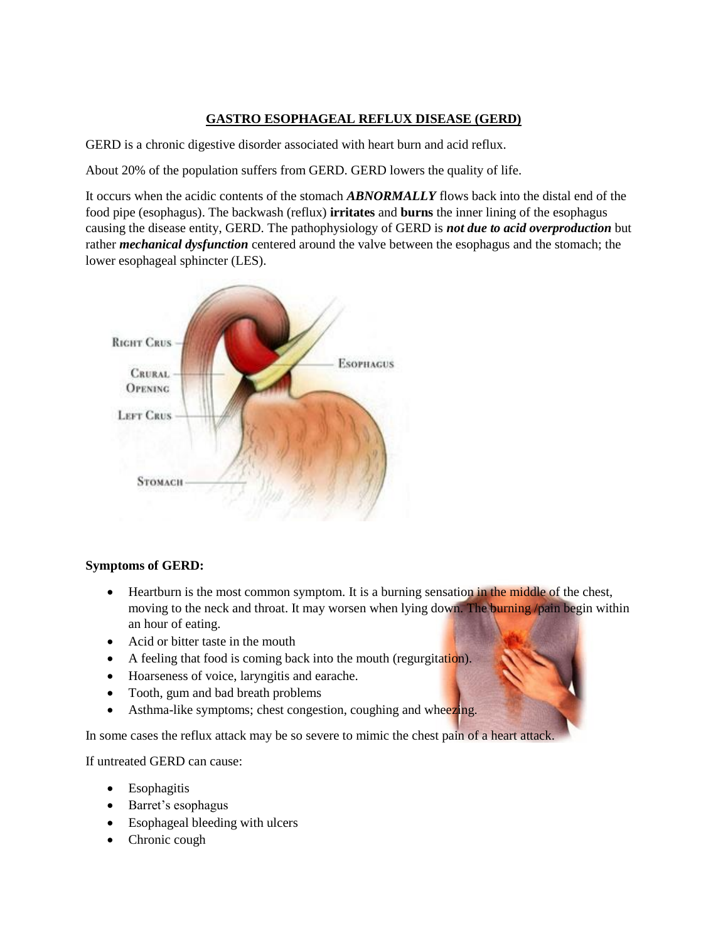# **GASTRO ESOPHAGEAL REFLUX DISEASE (GERD)**

GERD is a chronic digestive disorder associated with heart burn and acid reflux.

About 20% of the population suffers from GERD. GERD lowers the quality of life.

It occurs when the acidic contents of the stomach *ABNORMALLY* flows back into the distal end of the food pipe (esophagus). The backwash (reflux) **irritates** and **burns** the inner lining of the esophagus causing the disease entity, GERD. The pathophysiology of GERD is *not due to acid overproduction* but rather *mechanical dysfunction* centered around the valve between the esophagus and the stomach; the lower esophageal sphincter (LES).



## **Symptoms of GERD:**

- Heartburn is the most common symptom. It is a burning sensation in the middle of the chest, moving to the neck and throat. It may worsen when lying down. The burning /pain begin within an hour of eating.
- Acid or bitter taste in the mouth
- A feeling that food is coming back into the mouth (regurgitation).
- Hoarseness of voice, laryngitis and earache.
- Tooth, gum and bad breath problems
- Asthma-like symptoms; chest congestion, coughing and wheezing.

In some cases the reflux attack may be so severe to mimic the chest pain of a heart attack.

If untreated GERD can cause:

- Esophagitis
- Barret's esophagus
- Esophageal bleeding with ulcers
- Chronic cough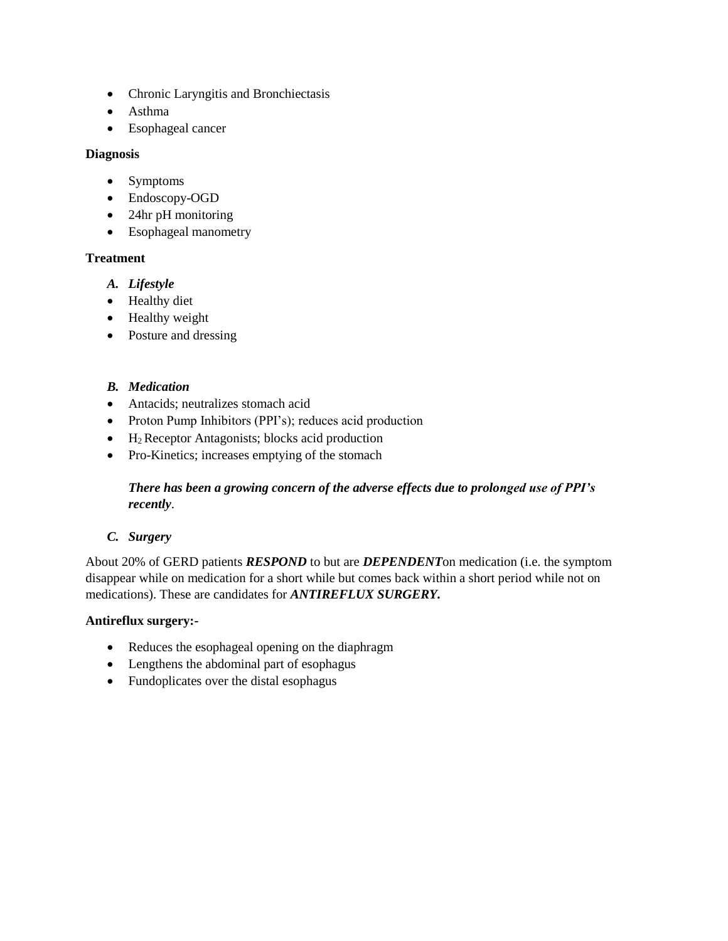- Chronic Laryngitis and Bronchiectasis
- Asthma
- Esophageal cancer

#### **Diagnosis**

- Symptoms
- Endoscopy-OGD
- 24hr pH monitoring
- Esophageal manometry

### **Treatment**

- *A. Lifestyle*
- Healthy diet
- Healthy weight
- Posture and dressing

### *B. Medication*

- Antacids; neutralizes stomach acid
- Proton Pump Inhibitors (PPI's); reduces acid production
- $\bullet$  H<sub>2</sub> Receptor Antagonists; blocks acid production
- Pro-Kinetics; increases emptying of the stomach

## *There has been a growing concern of the adverse effects due to prolonged use of PPI's recently*.

## *C. Surgery*

About 20% of GERD patients *RESPOND* to but are *DEPENDENT*on medication (i.e. the symptom disappear while on medication for a short while but comes back within a short period while not on medications). These are candidates for *ANTIREFLUX SURGERY.*

## **Antireflux surgery:-**

- Reduces the esophageal opening on the diaphragm
- Lengthens the abdominal part of esophagus
- Fundoplicates over the distal esophagus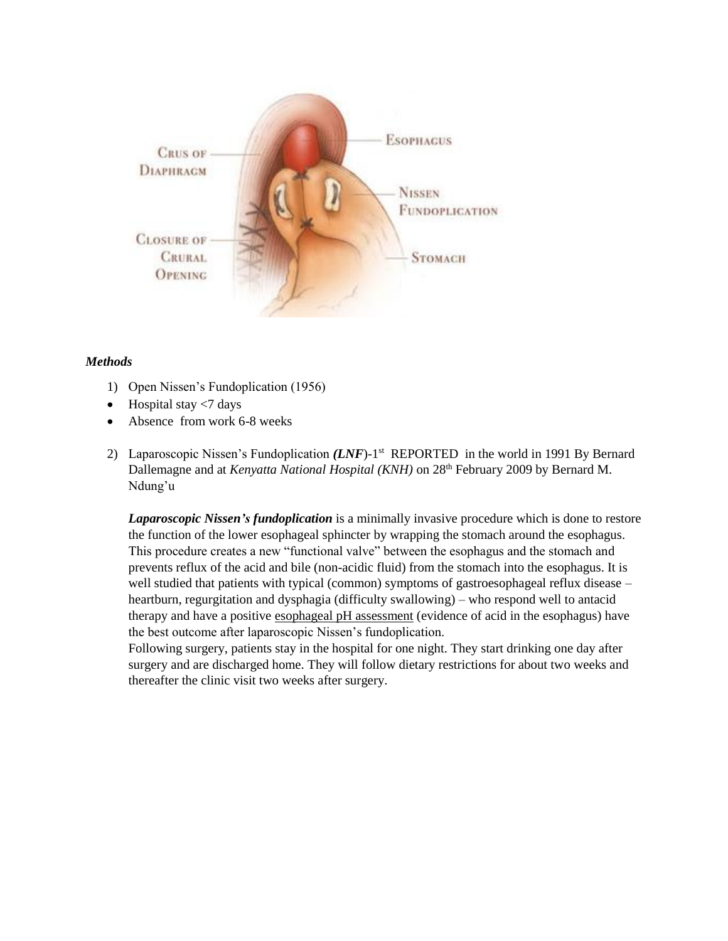

### *Methods*

- 1) Open Nissen's Fundoplication (1956)
- $\bullet$  Hospital stay <7 days
- Absence from work 6-8 weeks
- 2) Laparoscopic Nissen's Fundoplication *(LNF)*-1<sup>st</sup> REPORTED in the world in 1991 By Bernard Dallemagne and at *Kenyatta National Hospital (KNH)* on 28<sup>th</sup> February 2009 by Bernard M. Ndung'u

*Laparoscopic Nissen's fundoplication* is a minimally invasive procedure which is done to restore the function of the lower esophageal sphincter by wrapping the stomach around the esophagus. This procedure creates a new "functional valve" between the esophagus and the stomach and prevents reflux of the acid and bile (non-acidic fluid) from the stomach into the esophagus. It is well studied that patients with typical (common) symptoms of gastroesophageal reflux disease – heartburn, regurgitation and dysphagia (difficulty swallowing) – who respond well to antacid therapy and have a positive [esophageal pH assessment](http://www.memorialhermann.org/digestive/esophageal-ph-assessment-24-hour-study/) (evidence of acid in the esophagus) have the best outcome after laparoscopic Nissen's fundoplication.

Following surgery, patients stay in the hospital for one night. They start drinking one day after surgery and are discharged home. They will follow dietary restrictions for about two weeks and thereafter the clinic visit two weeks after surgery.